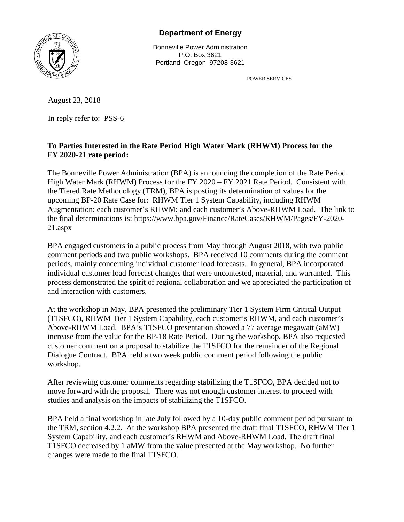

## **Department of Energy**

Bonneville Power Administration P.O. Box 3621 Portland, Oregon 97208-3621

POWER SERVICES

August 23, 2018

In reply refer to: PSS-6

## **To Parties Interested in the Rate Period High Water Mark (RHWM) Process for the FY 2020-21 rate period:**

The Bonneville Power Administration (BPA) is announcing the completion of the Rate Period High Water Mark (RHWM) Process for the FY 2020 – FY 2021 Rate Period. Consistent with the Tiered Rate Methodology (TRM), BPA is posting its determination of values for the upcoming BP-20 Rate Case for: RHWM Tier 1 System Capability, including RHWM Augmentation; each customer's RHWM; and each customer's Above-RHWM Load. The link to the final determinations is: https://www.bpa.gov/Finance/RateCases/RHWM/Pages/FY-2020- 21.aspx

BPA engaged customers in a public process from May through August 2018, with two public comment periods and two public workshops. BPA received 10 comments during the comment periods, mainly concerning individual customer load forecasts. In general, BPA incorporated individual customer load forecast changes that were uncontested, material, and warranted. This process demonstrated the spirit of regional collaboration and we appreciated the participation of and interaction with customers.

At the workshop in May, BPA presented the preliminary Tier 1 System Firm Critical Output (T1SFCO), RHWM Tier 1 System Capability, each customer's RHWM, and each customer's Above-RHWM Load. BPA's T1SFCO presentation showed a 77 average megawatt (aMW) increase from the value for the BP-18 Rate Period. During the workshop, BPA also requested customer comment on a proposal to stabilize the T1SFCO for the remainder of the Regional Dialogue Contract. BPA held a two week public comment period following the public workshop.

After reviewing customer comments regarding stabilizing the T1SFCO, BPA decided not to move forward with the proposal. There was not enough customer interest to proceed with studies and analysis on the impacts of stabilizing the T1SFCO.

BPA held a final workshop in late July followed by a 10-day public comment period pursuant to the TRM, section 4.2.2. At the workshop BPA presented the draft final T1SFCO, RHWM Tier 1 System Capability, and each customer's RHWM and Above-RHWM Load. The draft final T1SFCO decreased by 1 aMW from the value presented at the May workshop. No further changes were made to the final T1SFCO.